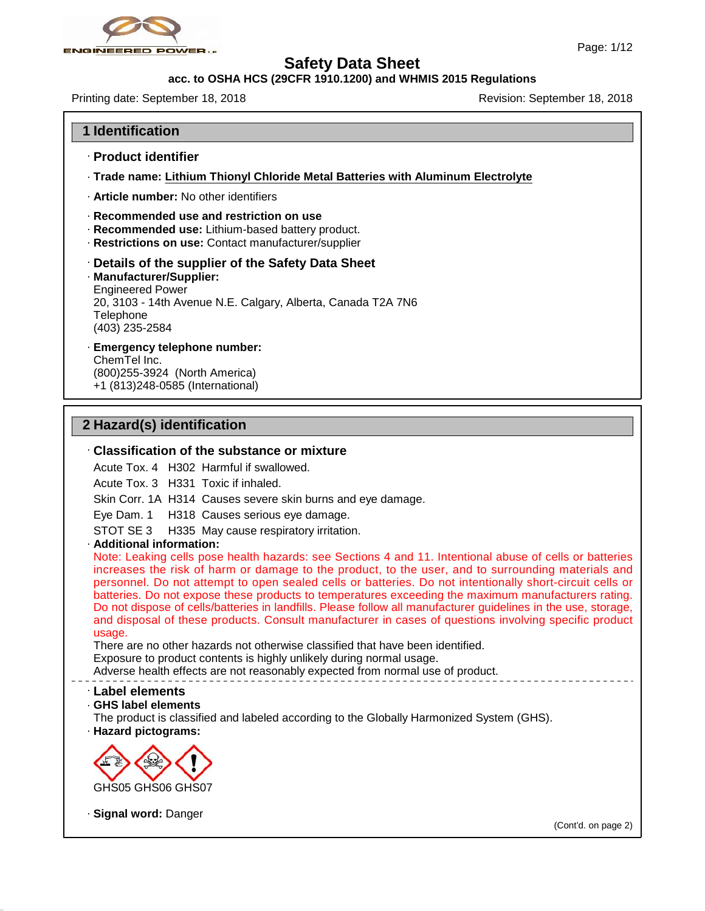

### **acc. to OSHA HCS (29CFR 1910.1200) and WHMIS 2015 Regulations**

Printing date: September 18, 2018 **Revision: September 18, 2018** Revision: September 18, 2018

### **1 Identification**

- · **Product identifier**
- · **Trade name: Lithium Thionyl Chloride Metal Batteries with Aluminum Electrolyte**
- · **Article number:** No other identifiers
- · **Recommended use and restriction on use**
- · **Recommended use:** Lithium-based battery product.
- · **Restrictions on use:** Contact manufacturer/supplier

### · **Details of the supplier of the Safety Data Sheet**

- · **Manufacturer/Supplier:** Engineered Power 20, 3103 - 14th Avenue N.E. Calgary, Alberta, Canada T2A 7N6 Telephone (403) 235-2584
- · **Emergency telephone number:**

ChemTel Inc. (800)255-3924 (North America) +1 (813)248-0585 (International)

### **2 Hazard(s) identification**

### · **Classification of the substance or mixture**

Acute Tox. 4 H302 Harmful if swallowed.

Acute Tox. 3 H331 Toxic if inhaled.

Skin Corr. 1A H314 Causes severe skin burns and eye damage.

Eye Dam. 1 H318 Causes serious eye damage.

- STOT SE 3 H335 May cause respiratory irritation.
- 

· **Additional information:** increases the risk of harm or damage to the product, to the user, and to surrounding materials and Eye Dam. 1 H318 Causes serious eye damage.<br>
Eye Dam. 1 H318 Causes serious eye damage.<br>
STOT SE 3 H335 May cause respiratory irritation.<br>
Additional information:<br>
Note: Leaking cells pose health hazards: see Sections 4 and Eye Dam. 1 - H318 Causes serious eye damage.<br>
STOT SE 3 - H335 May cause respiratory irritation.<br> **Additional information:**<br>
Note: Leaking cells pose health hazards: see Sections 4 and 11. Intentional abuse of cells or bat STOT SE 3 H335 May cause respiratory irritation.<br>
Additional information:<br>
Note: Leaking cells pose health hazards: see Sections 4 and 11. Intentional abuse of cells or batteries<br>
increases the risk of harm or damage to th Additional information:<br>Note: Leaking cells pose health hazards: see Sections 4 and 11. Intentional abuse of cells or batteries<br>increases the risk of harm or damage to the product, to the user, and to surrounding materials Note: Leaking cells pose health hazards: see Sections 4 and 11. Intentional abuse of cells or batteries increases the risk of harm or damage to the product, to the user, and to surrounding materials and personnel. Do not a usage.

There are no other hazards not otherwise classified that have been identified.

Exposure to product contents is highly unlikely during normal usage.

Adverse health effects are not reasonably expected from normal use of product.

### · **Label elements**

· **GHS label elements**

The product is classified and labeled according to the Globally Harmonized System (GHS).

· **Hazard pictograms:**



· **Signal word:** Danger

47.0.13

(Cont'd. on page 2)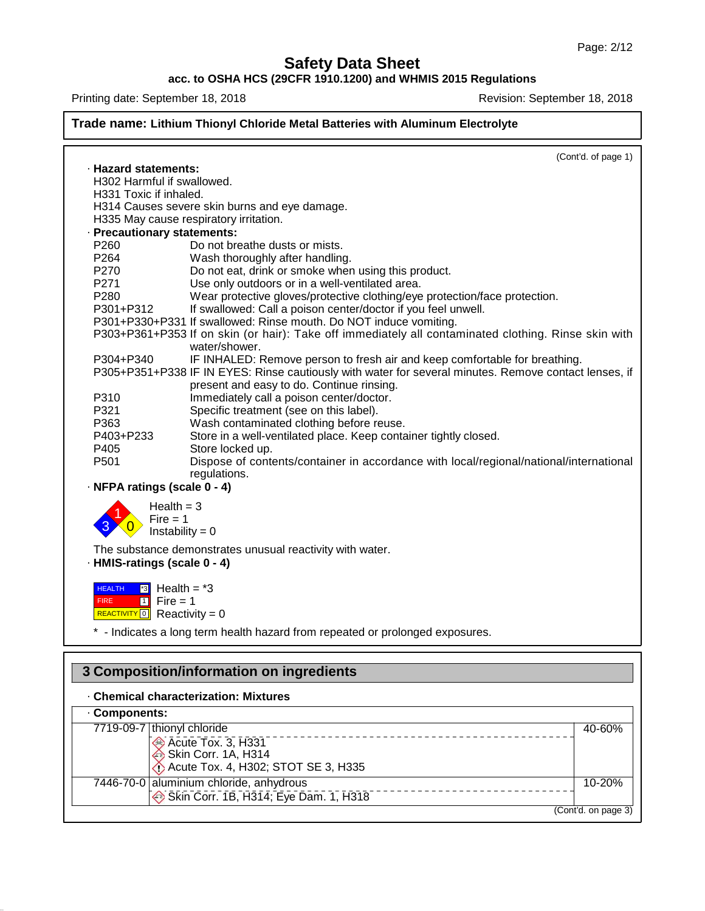### **acc. to OSHA HCS (29CFR 1910.1200) and WHMIS 2015 Regulations**

Printing date: September 18, 2018 **Revision: September 18, 2018** Revision: September 18, 2018

### **Trade name: Lithium Thionyl Chloride Metal Batteries with Aluminum Electrolyte** (Cont'd. of page 1) · **Hazard statements:** H302 Harmful if swallowed. H331 Toxic if inhaled. H314 Causes severe skin burns and eye damage. H335 May cause respiratory irritation. · **Precautionary statements:** P260 Do not breathe dusts or mists.<br>P264 Wash thoroughly after handling Wash thoroughly after handling. P270 Do not eat, drink or smoke when using this product.<br>P271 Use only outdoors or in a well-ventilated area. P271 Use only outdoors or in a well-ventilated area.<br>
P280 Wear protective gloves/protective clothing/eve P280 Wear protective gloves/protective clothing/eye protection/face protection.<br>P301+P312 If swallowed: Call a poison center/doctor if you feel unwell. If swallowed: Call a poison center/doctor if you feel unwell. P301+P330+P331 If swallowed: Rinse mouth. Do NOT induce vomiting. P303+P361+P353 If on skin (or hair): Take off immediately all contaminated clothing. Rinse skin with water/shower. P304+P340 IF INHALED: Remove person to fresh air and keep comfortable for breathing. P305+P351+P338 IF IN EYES: Rinse cautiously with water for several minutes. Remove contact lenses, if present and easy to do. Continue rinsing. P310 Immediately call a poison center/doctor.<br>P321 Specific treatment (see on this label). P321 Specific treatment (see on this label).<br>P363 Wash contaminated clothing before re-P363 Wash contaminated clothing before reuse.<br>P403+P233 Store in a well-ventilated place. Keep conta Store in a well-ventilated place. Keep container tightly closed. P405 Store locked up.<br>P501 Dispose of cont Dispose of contents/container in accordance with local/regional/national/international regulations. · **NFPA ratings (scale 0 - 4)**  $3 \times 0$  Instability = 0 Fire = 1  $Health = 3$ The substance demonstrates unusual reactivity with water. · **HMIS-ratings (scale 0 - 4)** HEALTH FIRE **HEALTH F3** Health = \*3<br>FIRE THE Fire = 1<br>REACTIVITY <mark>0</mark> Reactivity = 0  $\overline{3}$  Health =  $*3$  $1$  Fire = 1 \* - Indicates a long term health hazard from repeated or prolonged exposures.

### · **Chemical characterization: Mixtures**

47.0.13

| 3 Composition/information on ingredients                                                                        |                     |  |
|-----------------------------------------------------------------------------------------------------------------|---------------------|--|
| <b>Chemical characterization: Mixtures</b>                                                                      |                     |  |
| Components:                                                                                                     |                     |  |
| 7719-09-7 thionyl chloride<br>Acute Tox. 3, H331<br>Bikin Corr. 1A, H314<br>Acute Tox. 4, H302; STOT SE 3, H335 | 40-60%              |  |
| 7446-70-0 aluminium chloride, anhydrous<br>Skin Corr. 1B, H314; Eye Dam. 1, H318                                | 10-20%              |  |
|                                                                                                                 | (Cont'd. on page 3) |  |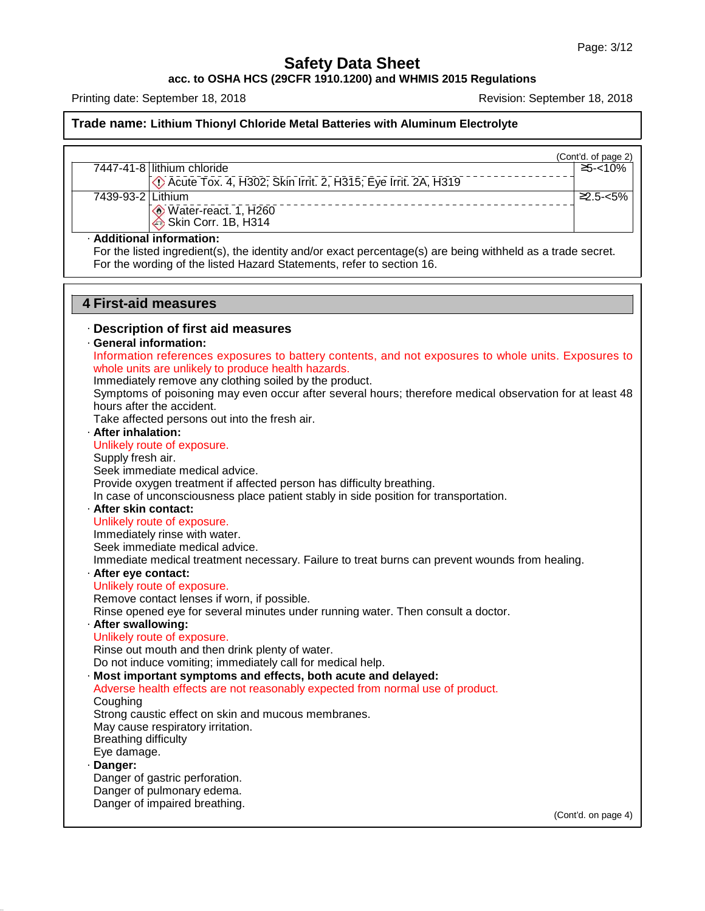**acc. to OSHA HCS (29CFR 1910.1200) and WHMIS 2015 Regulations**

Printing date: September 18, 2018 **Revision: September 18, 2018** Revision: September 18, 2018

47.0.13

|                             |                                                                                                                                                                                                                   | (Cont'd. of page 2) |
|-----------------------------|-------------------------------------------------------------------------------------------------------------------------------------------------------------------------------------------------------------------|---------------------|
|                             | 7447-41-8 lithium chloride                                                                                                                                                                                        | $5 - 10%$           |
|                             | Decute Tox. 4, H302; Skin Irrit. 2, H315; Eye Irrit. 2A, H319                                                                                                                                                     |                     |
| 7439-93-2 Lithium           |                                                                                                                                                                                                                   | $2.5 - 5%$          |
|                             | Water-react. 1, H260                                                                                                                                                                                              |                     |
|                             | Skin Corr. 1B, H314                                                                                                                                                                                               |                     |
|                             | · Additional information:<br>For the listed ingredient(s), the identity and/or exact percentage(s) are being withheld as a trade secret.<br>For the wording of the listed Hazard Statements, refer to section 16. |                     |
|                             | <b>4 First-aid measures</b>                                                                                                                                                                                       |                     |
|                             | Description of first aid measures<br>· General information:                                                                                                                                                       |                     |
|                             | Information references exposures to battery contents, and not exposures to whole units. Exposures to                                                                                                              |                     |
|                             | whole units are unlikely to produce health hazards.                                                                                                                                                               |                     |
|                             | Immediately remove any clothing soiled by the product.                                                                                                                                                            |                     |
|                             | Symptoms of poisoning may even occur after several hours; therefore medical observation for at least 48                                                                                                           |                     |
|                             | hours after the accident.                                                                                                                                                                                         |                     |
|                             | Take affected persons out into the fresh air.                                                                                                                                                                     |                     |
| · After inhalation:         |                                                                                                                                                                                                                   |                     |
|                             | Unlikely route of exposure.                                                                                                                                                                                       |                     |
| Supply fresh air.           |                                                                                                                                                                                                                   |                     |
|                             | Seek immediate medical advice.                                                                                                                                                                                    |                     |
|                             | Provide oxygen treatment if affected person has difficulty breathing.                                                                                                                                             |                     |
|                             | In case of unconsciousness place patient stably in side position for transportation.                                                                                                                              |                     |
| · After skin contact:       |                                                                                                                                                                                                                   |                     |
|                             | Unlikely route of exposure.                                                                                                                                                                                       |                     |
|                             | Immediately rinse with water.                                                                                                                                                                                     |                     |
|                             | Seek immediate medical advice.                                                                                                                                                                                    |                     |
|                             | Immediate medical treatment necessary. Failure to treat burns can prevent wounds from healing.                                                                                                                    |                     |
| · After eye contact:        |                                                                                                                                                                                                                   |                     |
|                             | Unlikely route of exposure.                                                                                                                                                                                       |                     |
|                             | Remove contact lenses if worn, if possible.                                                                                                                                                                       |                     |
|                             | Rinse opened eye for several minutes under running water. Then consult a doctor.                                                                                                                                  |                     |
| · After swallowing:         |                                                                                                                                                                                                                   |                     |
|                             | Unlikely route of exposure.                                                                                                                                                                                       |                     |
|                             | Rinse out mouth and then drink plenty of water.                                                                                                                                                                   |                     |
|                             | Do not induce vomiting; immediately call for medical help.                                                                                                                                                        |                     |
|                             | · Most important symptoms and effects, both acute and delayed:                                                                                                                                                    |                     |
|                             | Adverse health effects are not reasonably expected from normal use of product.                                                                                                                                    |                     |
| Coughing                    | Strong caustic effect on skin and mucous membranes.                                                                                                                                                               |                     |
|                             | May cause respiratory irritation.                                                                                                                                                                                 |                     |
| <b>Breathing difficulty</b> |                                                                                                                                                                                                                   |                     |
| Eye damage.                 |                                                                                                                                                                                                                   |                     |
| · Danger:                   |                                                                                                                                                                                                                   |                     |
|                             | Danger of gastric perforation.                                                                                                                                                                                    |                     |
|                             | Danger of pulmonary edema.                                                                                                                                                                                        |                     |
|                             | Danger of impaired breathing.                                                                                                                                                                                     |                     |
|                             |                                                                                                                                                                                                                   | (Cont'd. on page 4) |
|                             |                                                                                                                                                                                                                   |                     |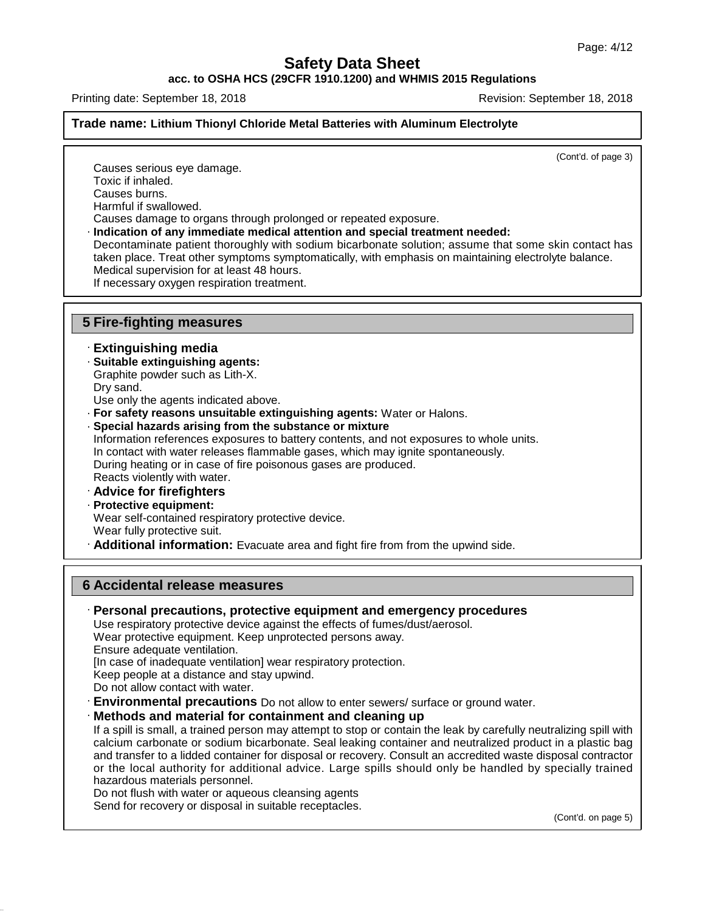**acc. to OSHA HCS (29CFR 1910.1200) and WHMIS 2015 Regulations**

Printing date: September 18, 2018 **Revision: September 18, 2018** Revision: September 18, 2018

### **Trade name: Lithium Thionyl Chloride Metal Batteries with Aluminum Electrolyte**

(Cont'd. of page 3)

Causes serious eye damage. Toxic if inhaled. Causes burns. Harmful if swallowed. Causes damage to organs through prolonged or repeated exposure.

· **Indication of any immediate medical attention and special treatment needed:**

Decontaminate patient thoroughly with sodium bicarbonate solution; assume that some skin contact has taken place. Treat other symptoms symptomatically, with emphasis on maintaining electrolyte balance. Medical supervision for at least 48 hours.

If necessary oxygen respiration treatment.

### **5 Fire-fighting measures**

### · **Extinguishing media**

- · **Suitable extinguishing agents:**
- Graphite powder such as Lith-X.
- Dry sand.
- Use only the agents indicated above.
- · **For safety reasons unsuitable extinguishing agents:** Water or Halons.
- · **Special hazards arising from the substance or mixture**

Information references exposures to battery contents, and not exposures to whole units. In contact with water releases flammable gases, which may ignite spontaneously. During heating or in case of fire poisonous gases are produced. Reacts violently with water.

- · **Advice for firefighters**
- · **Protective equipment:**

Wear self-contained respiratory protective device.

- Wear fully protective suit.
- · **Additional information:** Evacuate area and fight fire from from the upwind side.

### **6 Accidental release measures**

· **Personal precautions, protective equipment and emergency procedures**

Use respiratory protective device against the effects of fumes/dust/aerosol.

Wear protective equipment. Keep unprotected persons away.

Ensure adequate ventilation.

47.0.13

[In case of inadequate ventilation] wear respiratory protection.

Keep people at a distance and stay upwind.

- Do not allow contact with water.
- **Environmental precautions** Do not allow to enter sewers/ surface or ground water.
- · **Methods and material for containment and cleaning up**

If a spill is small, a trained person may attempt to stop or contain the leak by carefully neutralizing spill with calcium carbonate or sodium bicarbonate. Seal leaking container and neutralized product in a plastic bag and transfer to a lidded container for disposal or recovery. Consult an accredited waste disposal contractor or the local authority for additional advice. Large spills should only be handled by specially trained hazardous materials personnel.

Do not flush with water or aqueous cleansing agents

Send for recovery or disposal in suitable receptacles.

(Cont'd. on page 5)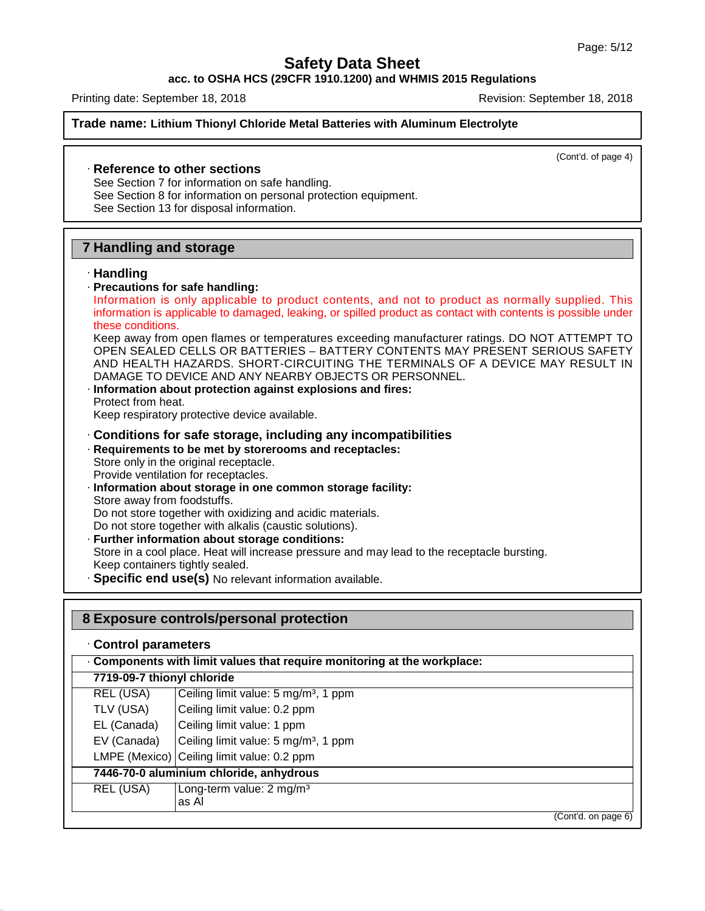### **acc. to OSHA HCS (29CFR 1910.1200) and WHMIS 2015 Regulations**

Printing date: September 18, 2018 **Revision: September 18, 2018** Revision: September 18, 2018

**Trade name: Lithium Thionyl Chloride Metal Batteries with Aluminum Electrolyte**

(Cont'd. of page 4)

### · **Reference to other sections**

See Section 7 for information on safe handling.

See Section 8 for information on personal protection equipment.

See Section 13 for disposal information.

## **7 Handling and storage**

### · **Handling**

47.0.13

· **Precautions for safe handling:**

Handling and storage<br>
Handling<br>
Precautions for safe handling:<br>
Information is only applicable to product contents, and not to product as normally supplied. This<br>
information is applicable to damaged, leaking, or spilled p **Handling<br>
Handling<br>
Precautions for safe handling:**<br>
Information is only applicable to product contents, and not to product as normally supplied. This<br>
information is applicable to damaged, leaking, or spilled product as Handling<br>Precautions for safe<br>Information is only<br>information is applical<br>these conditions.<br>Keep away from oper<br>OPEN SEALED CEL

Keep away from open flames or temperatures exceeding manufacturer ratings. DO NOT ATTEMPT TO OPEN SEALED CELLS OR BATTERIES – BATTERY CONTENTS MAY PRESENT SERIOUS SAFETY AND HEALTH HAZARDS. SHORT-CIRCUITING THE TERMINALS OF A DEVICE MAY RESULT IN DAMAGE TO DEVICE AND ANY NEARBY OBJECTS OR PERSONNEL.

· **Information about protection against explosions and fires:** Protect from heat.

Keep respiratory protective device available.

- · **Conditions for safe storage, including any incompatibilities**
- · **Requirements to be met by storerooms and receptacles:**
- Store only in the original receptacle. Provide ventilation for receptacles.
- · **Information about storage in one common storage facility:** Store away from foodstuffs. Do not store together with oxidizing and acidic materials. Do not store together with alkalis (caustic solutions).
- · **Further information about storage conditions:** Store in a cool place. Heat will increase pressure and may lead to the receptacle bursting. Keep containers tightly sealed.
- · **Specific end use(s)** No relevant information available.

**8 Exposure controls/personal protection**

| Components with limit values that require monitoring at the workplace:<br>7719-09-7 thionyl chloride<br>REL (USA)<br>Ceiling limit value: 5 mg/m <sup>3</sup> , 1 ppm<br>TLV (USA)<br>Ceiling limit value: 0.2 ppm<br>Ceiling limit value: 1 ppm<br>EL (Canada)<br>Ceiling limit value: 5 mg/m <sup>3</sup> , 1 ppm<br>EV (Canada)<br>LMPE (Mexico) Ceiling limit value: 0.2 ppm<br>7446-70-0 aluminium chloride, anhydrous | Control parameters |  |
|-----------------------------------------------------------------------------------------------------------------------------------------------------------------------------------------------------------------------------------------------------------------------------------------------------------------------------------------------------------------------------------------------------------------------------|--------------------|--|
|                                                                                                                                                                                                                                                                                                                                                                                                                             |                    |  |
|                                                                                                                                                                                                                                                                                                                                                                                                                             |                    |  |
|                                                                                                                                                                                                                                                                                                                                                                                                                             |                    |  |
|                                                                                                                                                                                                                                                                                                                                                                                                                             |                    |  |
|                                                                                                                                                                                                                                                                                                                                                                                                                             |                    |  |
|                                                                                                                                                                                                                                                                                                                                                                                                                             |                    |  |
|                                                                                                                                                                                                                                                                                                                                                                                                                             |                    |  |
| REL (USA)<br>Long-term value: 2 mg/m <sup>3</sup><br>as Al                                                                                                                                                                                                                                                                                                                                                                  |                    |  |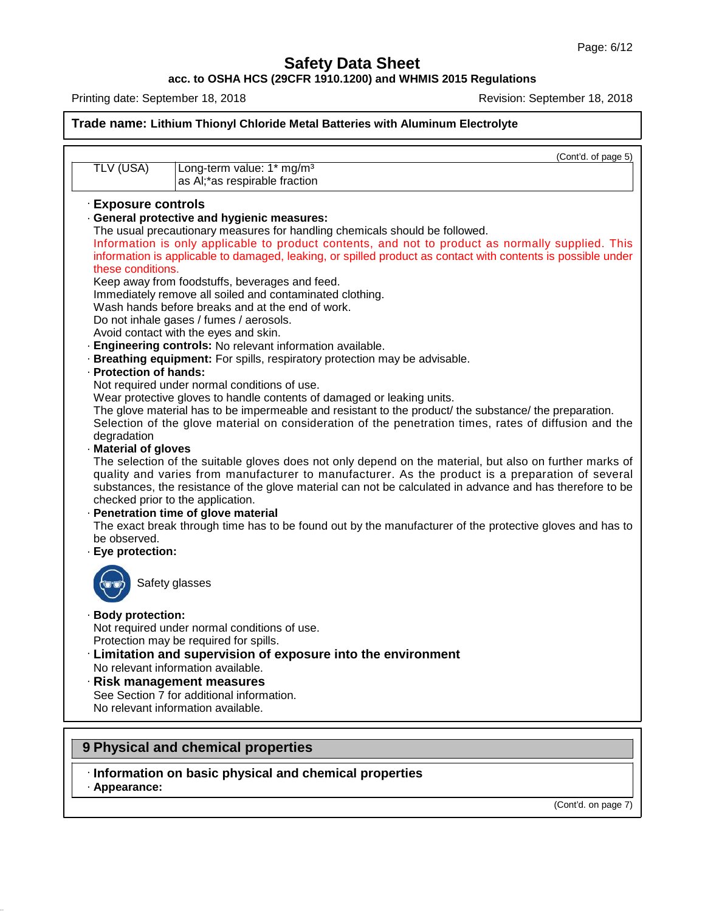**acc. to OSHA HCS (29CFR 1910.1200) and WHMIS 2015 Regulations**

Printing date: September 18, 2018 Revision: September 18, 2018

|                                   | (Cont'd. of page 5)                                                                                                                                                                                                                                                                                                                                           |
|-----------------------------------|---------------------------------------------------------------------------------------------------------------------------------------------------------------------------------------------------------------------------------------------------------------------------------------------------------------------------------------------------------------|
| TLV (USA)                         | Long-term value: 1* mg/m <sup>3</sup><br>as Al;*as respirable fraction                                                                                                                                                                                                                                                                                        |
| · Exposure controls               |                                                                                                                                                                                                                                                                                                                                                               |
|                                   | · General protective and hygienic measures:                                                                                                                                                                                                                                                                                                                   |
|                                   | The usual precautionary measures for handling chemicals should be followed.                                                                                                                                                                                                                                                                                   |
|                                   | Information is only applicable to product contents, and not to product as normally supplied. This                                                                                                                                                                                                                                                             |
|                                   | information is applicable to damaged, leaking, or spilled product as contact with contents is possible under                                                                                                                                                                                                                                                  |
| these conditions.                 | Keep away from foodstuffs, beverages and feed.                                                                                                                                                                                                                                                                                                                |
|                                   | Immediately remove all soiled and contaminated clothing.                                                                                                                                                                                                                                                                                                      |
|                                   | Wash hands before breaks and at the end of work.                                                                                                                                                                                                                                                                                                              |
|                                   | Do not inhale gases / fumes / aerosols.                                                                                                                                                                                                                                                                                                                       |
|                                   | Avoid contact with the eyes and skin.                                                                                                                                                                                                                                                                                                                         |
|                                   | · Engineering controls: No relevant information available.                                                                                                                                                                                                                                                                                                    |
|                                   | · Breathing equipment: For spills, respiratory protection may be advisable.                                                                                                                                                                                                                                                                                   |
| · Protection of hands:            |                                                                                                                                                                                                                                                                                                                                                               |
|                                   | Not required under normal conditions of use.                                                                                                                                                                                                                                                                                                                  |
|                                   | Wear protective gloves to handle contents of damaged or leaking units.<br>The glove material has to be impermeable and resistant to the product/ the substance/ the preparation.                                                                                                                                                                              |
|                                   | Selection of the glove material on consideration of the penetration times, rates of diffusion and the                                                                                                                                                                                                                                                         |
| degradation                       |                                                                                                                                                                                                                                                                                                                                                               |
| · Material of gloves              |                                                                                                                                                                                                                                                                                                                                                               |
|                                   | The selection of the suitable gloves does not only depend on the material, but also on further marks of<br>quality and varies from manufacturer to manufacturer. As the product is a preparation of several<br>substances, the resistance of the glove material can not be calculated in advance and has therefore to be<br>checked prior to the application. |
|                                   | · Penetration time of glove material                                                                                                                                                                                                                                                                                                                          |
|                                   | The exact break through time has to be found out by the manufacturer of the protective gloves and has to                                                                                                                                                                                                                                                      |
| be observed.<br>· Eye protection: |                                                                                                                                                                                                                                                                                                                                                               |
|                                   |                                                                                                                                                                                                                                                                                                                                                               |
|                                   | Safety glasses                                                                                                                                                                                                                                                                                                                                                |
| <b>Body protection:</b>           |                                                                                                                                                                                                                                                                                                                                                               |
|                                   | Not required under normal conditions of use.                                                                                                                                                                                                                                                                                                                  |
|                                   | Protection may be required for spills.                                                                                                                                                                                                                                                                                                                        |
|                                   | · Limitation and supervision of exposure into the environment                                                                                                                                                                                                                                                                                                 |
|                                   | No relevant information available.                                                                                                                                                                                                                                                                                                                            |
|                                   | $\cdot$ Risk management measures                                                                                                                                                                                                                                                                                                                              |
|                                   | See Section 7 for additional information.<br>No relevant information available.                                                                                                                                                                                                                                                                               |
|                                   |                                                                                                                                                                                                                                                                                                                                                               |

· **Appearance:**

47.0.13

(Cont'd. on page 7)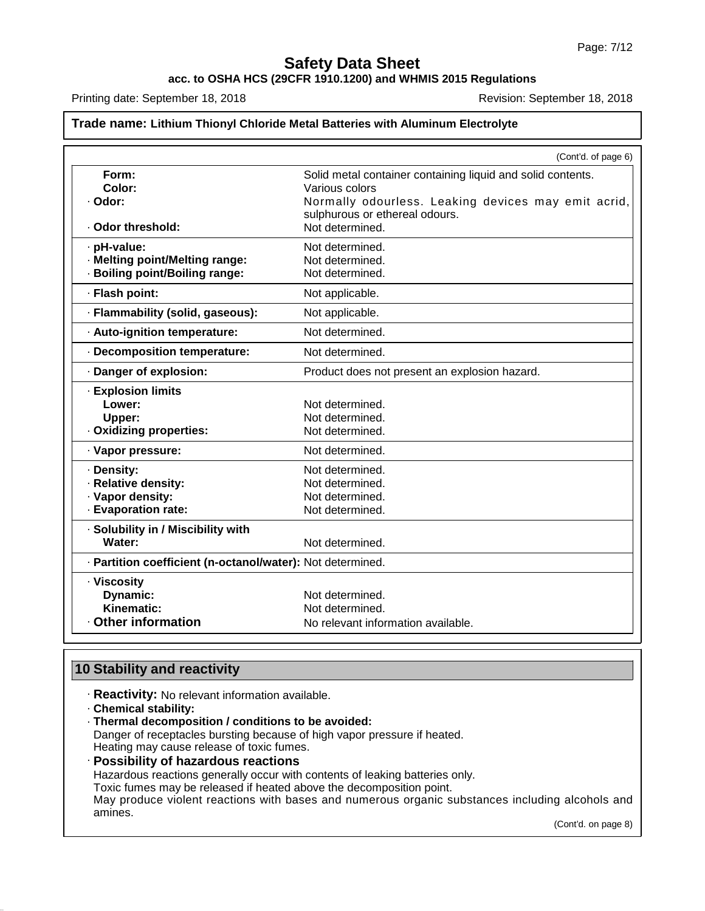**acc. to OSHA HCS (29CFR 1910.1200) and WHMIS 2015 Regulations**

Printing date: September 18, 2018 **Revision: September 18, 2018** Revision: September 18, 2018

### **Trade name: Lithium Thionyl Chloride Metal Batteries with Aluminum Electrolyte**

|                                                            | (Cont'd. of page 6)                                         |
|------------------------------------------------------------|-------------------------------------------------------------|
| Form:                                                      | Solid metal container containing liquid and solid contents. |
| Color:                                                     | Various colors                                              |
| · Odor:                                                    | Normally odourless. Leaking devices may emit acrid,         |
|                                                            | sulphurous or ethereal odours.                              |
| · Odor threshold:                                          | Not determined.                                             |
| · pH-value:                                                | Not determined.                                             |
| · Melting point/Melting range:                             | Not determined.                                             |
| · Boiling point/Boiling range:                             | Not determined.                                             |
| · Flash point:                                             | Not applicable.                                             |
| · Flammability (solid, gaseous):                           | Not applicable.                                             |
| · Auto-ignition temperature:                               | Not determined.                                             |
| · Decomposition temperature:                               | Not determined.                                             |
| Danger of explosion:                                       | Product does not present an explosion hazard.               |
| <b>Explosion limits</b>                                    |                                                             |
| Lower:                                                     | Not determined.                                             |
| Upper:                                                     | Not determined.                                             |
| Oxidizing properties:                                      | Not determined.                                             |
| · Vapor pressure:                                          | Not determined.                                             |
| · Density:                                                 | Not determined.                                             |
| · Relative density:                                        | Not determined.                                             |
| · Vapor density:                                           | Not determined.                                             |
| · Evaporation rate:                                        | Not determined.                                             |
| · Solubility in / Miscibility with                         |                                                             |
| Water:                                                     | Not determined.                                             |
| · Partition coefficient (n-octanol/water): Not determined. |                                                             |
| · Viscosity                                                |                                                             |
| Dynamic:                                                   | Not determined.                                             |
| Kinematic:                                                 | Not determined.                                             |
| <b>Other information</b>                                   | No relevant information available.                          |

# **10 Stability and reactivity**

- · **Reactivity:** No relevant information available.
- · **Chemical stability:**

47.0.13

- · **Thermal decomposition / conditions to be avoided:** Danger of receptacles bursting because of high vapor pressure if heated. Heating may cause release of toxic fumes.
- · **Possibility of hazardous reactions**

Hazardous reactions generally occur with contents of leaking batteries only.

Toxic fumes may be released if heated above the decomposition point.

May produce violent reactions with bases and numerous organic substances including alcohols and amines.

(Cont'd. on page 8)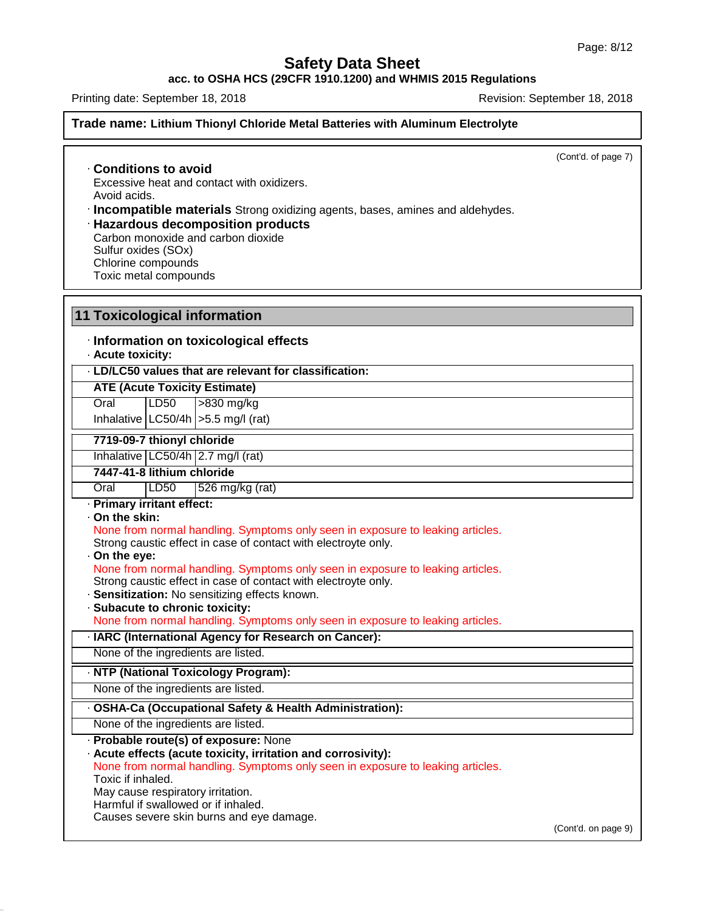**acc. to OSHA HCS (29CFR 1910.1200) and WHMIS 2015 Regulations**

Printing date: September 18, 2018 **Revision: September 18, 2018** Revision: September 18, 2018

47.0.13

### **Trade name: Lithium Thionyl Chloride Metal Batteries with Aluminum Electrolyte**

(Cont'd. of page 7)

· **Conditions to avoid** Excessive heat and contact with oxidizers. Avoid acids.

· **Incompatible materials** Strong oxidizing agents, bases, amines and aldehydes.

· **Hazardous decomposition products** Carbon monoxide and carbon dioxide Sulfur oxides (SOx) Chlorine compounds Toxic metal compounds

**11 Toxicological information** · **Information on toxicological effects** · **Acute toxicity:** · **LD/LC50 values that are relevant for classification: ATE (Acute Toxicity Estimate)** Oral LD50 >830 mg/kg Inhalative  $|LC50/4h| > 5.5$  mg/l (rat) **ATE (Acute Toxicity Estimate)**<br>
Oral LD50 >830 mg/kg<br>
Inhalative LC50/4h >5.5 mg/l (rat)<br> **7719-09-7 thionyl chloride**<br>
Inhalative LC50/4h 2.7 mg/l (rat) **7447-41-8 lithium chloride** Oral LD50 526 mg/kg (rat) · **Primary irritant effect:** · **On the skin:** Strong caustic effect in case of contact with electroyte only. · **On the eye:** Strong caustic effect in case of contact with electroyte only. · **Sensitization:** No sensitizing effects known. · **Subacute to chronic toxicity:** · **IARC (International Agency for Research on Cancer):** None of the ingredients are listed. · **NTP (National Toxicology Program):** None of the ingredients are listed. · **OSHA-Ca (Occupational Safety & Health Administration):** None of the ingredients are listed. · **Probable route(s) of exposure:** None · **Acute effects (acute toxicity, irritation and corrosivity):** Toxic if inhaled. May cause respiratory irritation. Harmful if swallowed or if inhaled. Causes severe skin burns and eye damage. (Cont'd. on page 9) None from normal handling. Symptoms only seen in exposure to leaking articles. Primary irritant effect:<br>
On the skin:<br>
None from normal handling. Symptoms only seen in exposure to leaking articles.<br>
Strong caustic effect in case of contact with electroyte only.<br>
On the eye:<br>
None from normal handling None from normal handling. Symptoms only seen in exposure to leaking articles. None from normal handling. Symptoms only seen in exposure to leaking articles.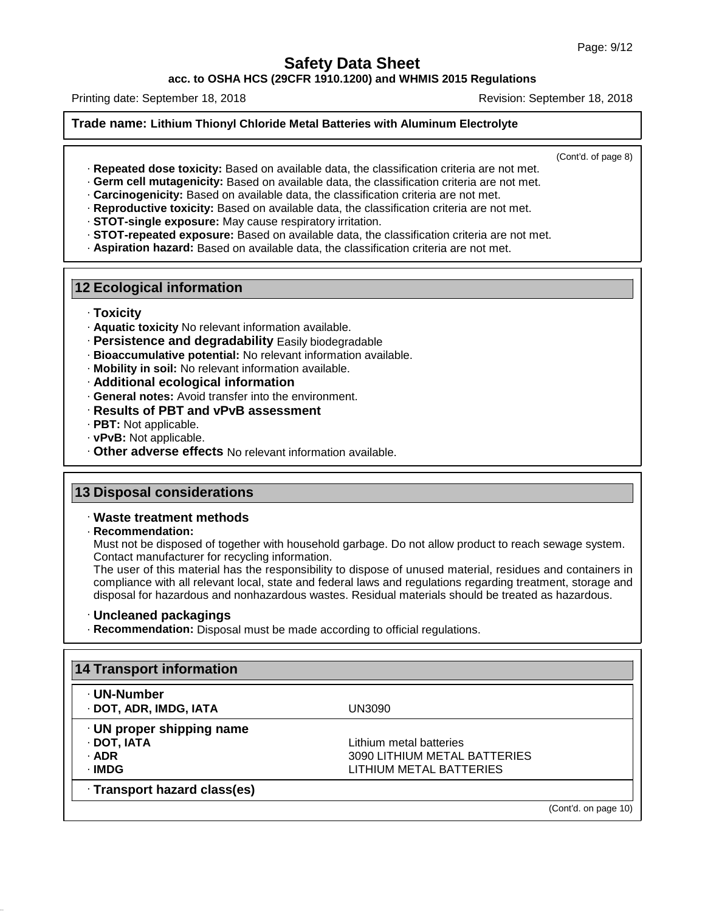**acc. to OSHA HCS (29CFR 1910.1200) and WHMIS 2015 Regulations**

Printing date: September 18, 2018 **Revision: September 18, 2018** Revision: September 18, 2018

### **Trade name: Lithium Thionyl Chloride Metal Batteries with Aluminum Electrolyte**

(Cont'd. of page 8)

- · **Repeated dose toxicity:** Based on available data, the classification criteria are not met.
- · **Germ cell mutagenicity:** Based on available data, the classification criteria are not met.
- · **Carcinogenicity:** Based on available data, the classification criteria are not met.
- · **Reproductive toxicity:** Based on available data, the classification criteria are not met.
- · **STOT-single exposure:** May cause respiratory irritation.
- · **STOT-repeated exposure:** Based on available data, the classification criteria are not met.
- · **Aspiration hazard:** Based on available data, the classification criteria are not met.

### **12 Ecological information**

- · **Toxicity**
- · **Aquatic toxicity** No relevant information available.
- · **Persistence and degradability** Easily biodegradable
- · **Bioaccumulative potential:** No relevant information available.
- · **Mobility in soil:** No relevant information available.
- · **Additional ecological information**
- · **General notes:** Avoid transfer into the environment.
- · **Results of PBT and vPvB assessment**
- · **PBT:** Not applicable.
- · **vPvB:** Not applicable.
- · **Other adverse effects** No relevant information available.

### **13 Disposal considerations**

### · **Waste treatment methods**

· **Recommendation:**

47.0.13

Must not be disposed of together with household garbage. Do not allow product to reach sewage system. Contact manufacturer for recycling information.

The user of this material has the responsibility to dispose of unused material, residues and containers in compliance with all relevant local, state and federal laws and regulations regarding treatment, storage and disposal for hazardous and nonhazardous wastes. Residual materials should be treated as hazardous.

### · **Uncleaned packagings**

· **Recommendation:** Disposal must be made according to official regulations.

| ⋅ UN-Number                     |                              |  |
|---------------------------------|------------------------------|--|
| · DOT, ADR, IMDG, IATA          | UN3090                       |  |
| $\cdot$ UN proper shipping name |                              |  |
| · DOT, IATA                     | Lithium metal batteries      |  |
| · ADR                           | 3090 LITHIUM METAL BATTERIES |  |
| · IMDG                          | LITHIUM METAL BATTERIES      |  |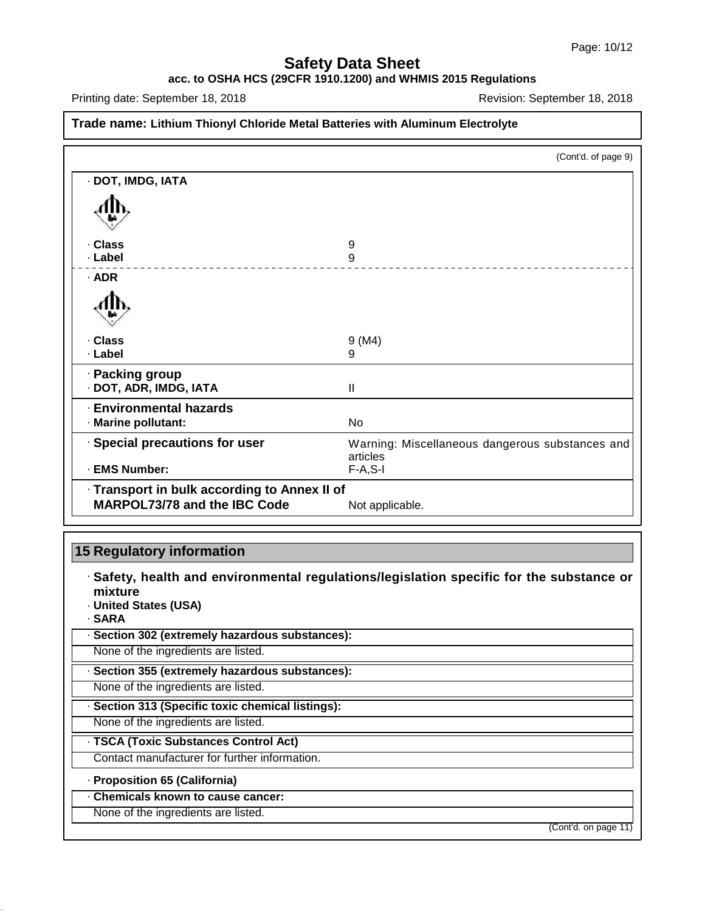### **acc. to OSHA HCS (29CFR 1910.1200) and WHMIS 2015 Regulations**

Printing date: September 18, 2018 **Revision: September 18, 2018** Revision: September 18, 2018

### **Trade name: Lithium Thionyl Chloride Metal Batteries with Aluminum Electrolyte**

|                                              | (Cont'd. of page 9)                                         |
|----------------------------------------------|-------------------------------------------------------------|
| · DOT, IMDG, IATA                            |                                                             |
|                                              |                                                             |
| · Class                                      | 9                                                           |
| · Label                                      | 9                                                           |
| $·$ ADR                                      |                                                             |
|                                              |                                                             |
| · Class                                      | 9 (M4)                                                      |
| · Label                                      | 9                                                           |
| · Packing group<br>· DOT, ADR, IMDG, IATA    | Ш                                                           |
| <b>Environmental hazards</b>                 |                                                             |
| · Marine pollutant:                          | No                                                          |
|                                              |                                                             |
| · Special precautions for user               | Warning: Miscellaneous dangerous substances and<br>articles |
| · EMS Number:                                | $F-A, S-I$                                                  |
| · Transport in bulk according to Annex II of |                                                             |
| MARPOL73/78 and the IBC Code                 | Not applicable.                                             |

## **15 Regulatory information**

· **Safety, health and environmental regulations/legislation specific for the substance or mixture**

· **United States (USA)**

· **SARA**

47.0.13

· **Section 302 (extremely hazardous substances):**

None of the ingredients are listed.

· **Section 355 (extremely hazardous substances):**

None of the ingredients are listed.

· **Section 313 (Specific toxic chemical listings):**

None of the ingredients are listed.

· **TSCA (Toxic Substances Control Act)**

Contact manufacturer for further information.

· **Proposition 65 (California)**

# · **Chemicals known to cause cancer:**

None of the ingredients are listed.

(Cont'd. on page 11)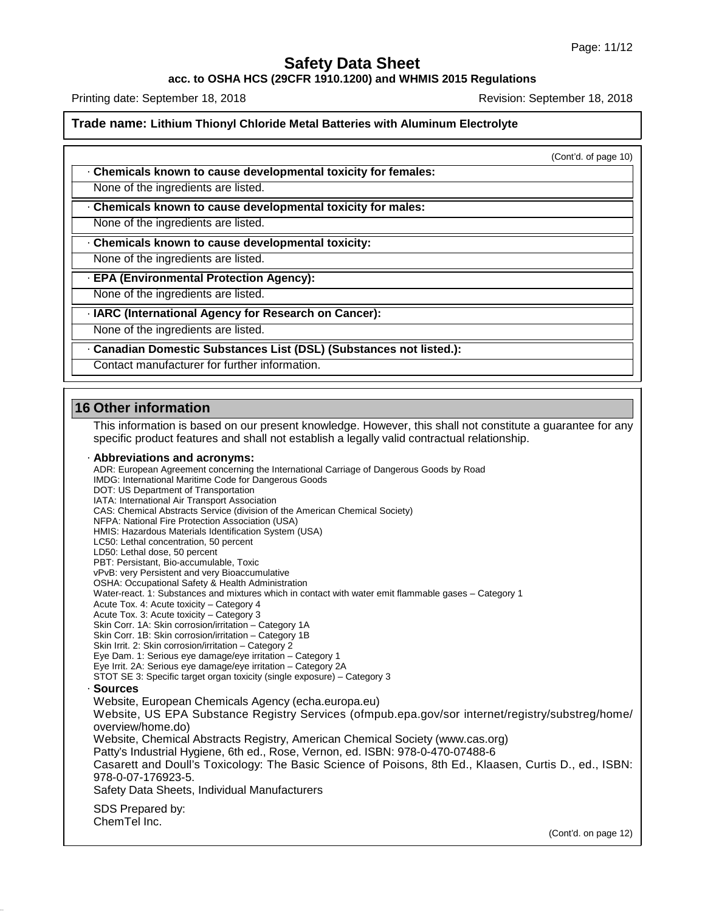**acc. to OSHA HCS (29CFR 1910.1200) and WHMIS 2015 Regulations**

Printing date: September 18, 2018 **Revision: September 18, 2018** Revision: September 18, 2018

**Trade name: Lithium Thionyl Chloride Metal Batteries with Aluminum Electrolyte**

(Cont'd. of page 10)

· **Chemicals known to cause developmental toxicity for females:**

None of the ingredients are listed.

· **Chemicals known to cause developmental toxicity for males:**

None of the ingredients are listed.

· **Chemicals known to cause developmental toxicity:**

None of the ingredients are listed.

· **EPA (Environmental Protection Agency):**

None of the ingredients are listed.

· **IARC (International Agency for Research on Cancer):**

None of the ingredients are listed.

· **Canadian Domestic Substances List (DSL) (Substances not listed.):**

Contact manufacturer for further information.

### **16 Other information**

47.0.13

This information is based on our present knowledge. However, this shall not constitute a guarantee for any specific product features and shall not establish a legally valid contractual relationship.

· **Abbreviations and acronyms:**

ADR: European Agreement concerning the International Carriage of Dangerous Goods by Road IMDG: International Maritime Code for Dangerous Goods DOT: US Department of Transportation IATA: International Air Transport Association CAS: Chemical Abstracts Service (division of the American Chemical Society) NFPA: National Fire Protection Association (USA) HMIS: Hazardous Materials Identification System (USA) LC50: Lethal concentration, 50 percent LD50: Lethal dose, 50 percent PBT: Persistant, Bio-accumulable, Toxic vPvB: very Persistent and very Bioaccumulative OSHA: Occupational Safety & Health Administration Water-react. 1: Substances and mixtures which in contact with water emit flammable gases - Category 1 Acute Tox. 4: Acute toxicity – Category 4 Acute Tox. 3: Acute toxicity – Category 3 Skin Corr. 1A: Skin corrosion/irritation – Category 1A Skin Corr. 1B: Skin corrosion/irritation - Category 1B Skin Irrit. 2: Skin corrosion/irritation – Category 2 Eye Dam. 1: Serious eye damage/eye irritation – Category 1 Eye Irrit.2A: Serious eye damage/eye irritation – Category 2A STOT SE 3: Specific target organ toxicity (single exposure) – Category 3 · **Sources** Website, European Chemicals Agency (echa.europa.eu) Website, US EPA Substance Registry Services (ofmpub.epa.gov/sor internet/registry/substreg/home/ overview/home.do) Website, Chemical Abstracts Registry, American Chemical Society (www.cas.org) Patty's Industrial Hygiene, 6th ed., Rose, Vernon, ed. ISBN: 978-0-470-07488-6 Casarett and Doull's Toxicology: The Basic Science of Poisons, 8th Ed., Klaasen, Curtis D.,ed., ISBN: 978-0-07-176923-5. Safety Data Sheets, Individual Manufacturers SDS Prepared by: ChemTel Inc.

(Cont'd. on page 12)